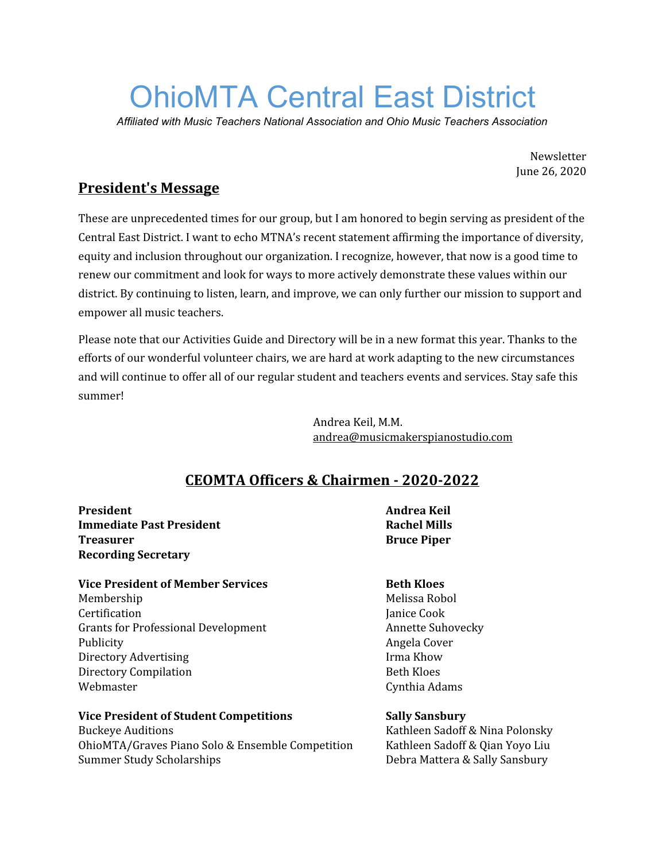# OhioMTA Central East District

*Affiliated with Music Teachers National Association and Ohio Music Teachers Association*

Newsletter June 26, 2020

### **President's Message**

These are unprecedented times for our group, but I am honored to begin serving as president of the Central East District. I want to echo MTNA's recent statement affirming the importance of diversity, equity and inclusion throughout our organization. I recognize, however, that now is a good time to renew our commitment and look for ways to more actively demonstrate these values within our district. By continuing to listen, learn, and improve, we can only further our mission to support and empower all music teachers.

Please note that our Activities Guide and Directory will be in a new format this year. Thanks to the efforts of our wonderful volunteer chairs, we are hard at work adapting to the new circumstances and will continue to offer all of our regular student and teachers events and services. Stay safe this summer!

> Andrea Keil, M.M. [andrea@musicmakerspianostudio.com](mailto:andrea@musicmakerspianostudio.com)

# **CEOMTA Officers & Chairmen - 2020-2022**

**President Andrea Keil Immediate Past President Rachel Mills Treasurer Bruce Piper Recording Secretary**

#### **Vice President of Member Services Beth Kloes**

Membership Melissa Robol Certification **Janice Cook** Grants for Professional Development Annette Suhovecky Publicity **Angela Cover** Directory Advertising **Irma Khow** Directory Compilation Beth Kloes Webmaster **Cynthia Adams** 

**Vice President of Student Competitions Sally Sansbury** Buckeye Auditions **Kathleen Sadoff & Nina Polonsky** OhioMTA/Graves Piano Solo & Ensemble Competition Kathleen Sadoff & Qian Yoyo Liu Summer Study Scholarships Debra Mattera & Sally Sansbury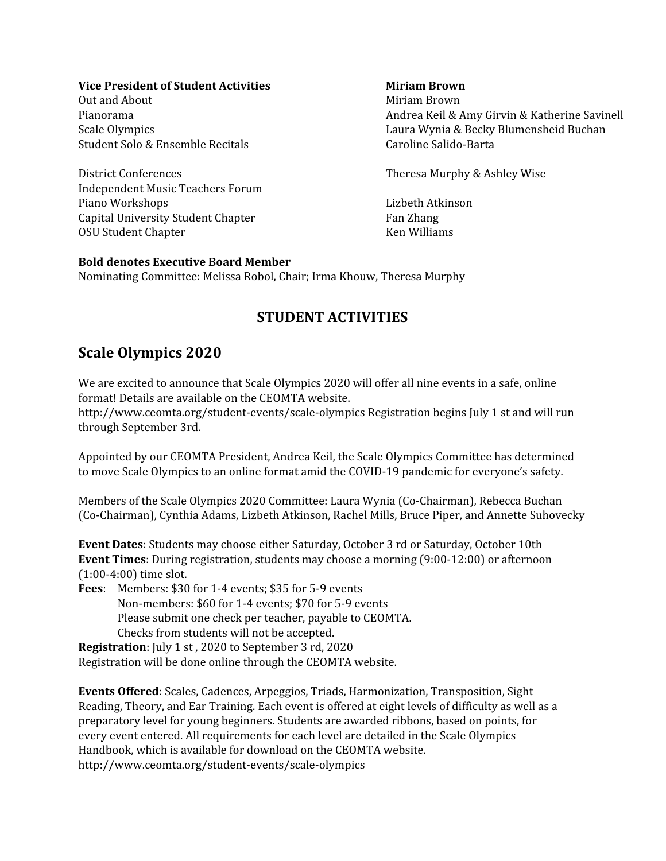#### **Vice President of Student Activities Miriam Brown**

Out and About **Miriam Brown** Student Solo & Ensemble Recitals Caroline Salido-Barta

District Conferences Theresa Murphy & Ashley Wise Independent Music Teachers Forum Piano Workshops Lizbeth Atkinson Capital University Student Chapter Fan Zhang OSU Student Chapter **Ken Williams** Ken Williams

Pianorama **Andrea Keil & Amy Girvin & Katherine Savinell** Savinell Scale Olympics Laura Wynia & Becky Blumensheid Buchan

#### **Bold denotes Executive Board Member**

Nominating Committee: Melissa Robol, Chair; Irma Khouw, Theresa Murphy

# **STUDENT ACTIVITIES**

# **Scale Olympics 2020**

We are excited to announce that Scale Olympics 2020 will offer all nine events in a safe, online format! Details are available on the CEOMTA website.

http://www.ceomta.org/student-events/scale-olympics Registration begins July 1 st and will run through September 3rd.

Appointed by our CEOMTA President, Andrea Keil, the Scale Olympics Committee has determined to move Scale Olympics to an online format amid the COVID-19 pandemic for everyone's safety.

Members of the Scale Olympics 2020 Committee: Laura Wynia (Co-Chairman), Rebecca Buchan (Co-Chairman), Cynthia Adams, Lizbeth Atkinson, Rachel Mills, Bruce Piper, and Annette Suhovecky

**Event Dates**: Students may choose either Saturday, October 3 rd or Saturday, October 10th **Event Times**: During registration, students may choose a morning (9:00-12:00) or afternoon (1:00-4:00) time slot.

**Fees**: Members: \$30 for 1-4 events; \$35 for 5-9 events Non-members: \$60 for 1-4 events; \$70 for 5-9 events Please submit one check per teacher, payable to CEOMTA. Checks from students will not be accepted.

**Registration**: July 1 st , 2020 to September 3 rd, 2020

Registration will be done online through the CEOMTA website.

**Events Offered**: Scales, Cadences, Arpeggios, Triads, Harmonization, Transposition, Sight Reading, Theory, and Ear Training. Each event is offered at eight levels of difficulty as well as a preparatory level for young beginners. Students are awarded ribbons, based on points, for every event entered. All requirements for each level are detailed in the Scale Olympics Handbook, which is available for download on the CEOMTA website. http://www.ceomta.org/student-events/scale-olympics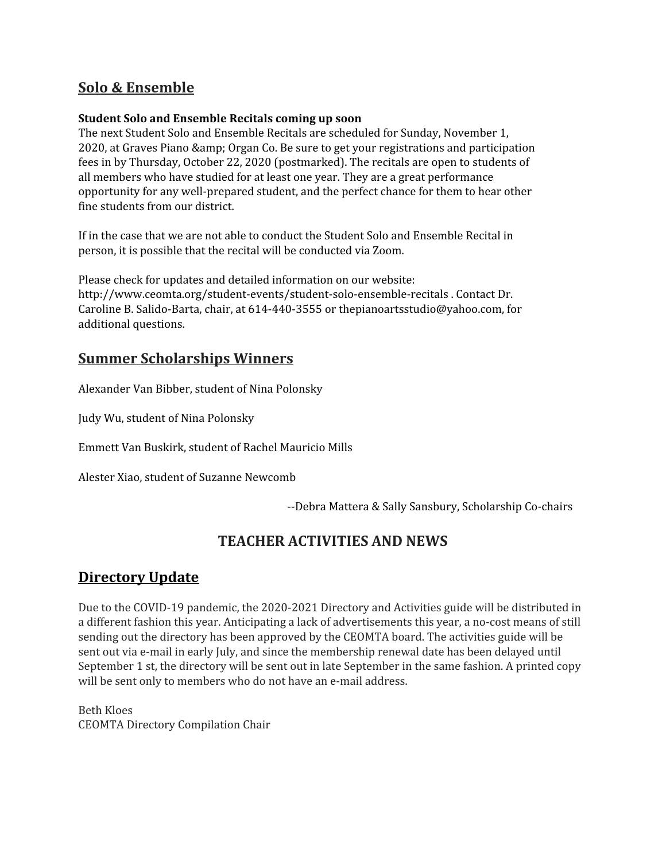# **Solo & Ensemble**

#### **Student Solo and Ensemble Recitals coming up soon**

The next Student Solo and Ensemble Recitals are scheduled for Sunday, November 1, 2020, at Graves Piano & amp; Organ Co. Be sure to get your registrations and participation fees in by Thursday, October 22, 2020 (postmarked). The recitals are open to students of all members who have studied for at least one year. They are a great performance opportunity for any well-prepared student, and the perfect chance for them to hear other fine students from our district.

If in the case that we are not able to conduct the Student Solo and Ensemble Recital in person, it is possible that the recital will be conducted via Zoom.

Please check for updates and detailed information on our website: http://www.ceomta.org/student-events/student-solo-ensemble-recitals . Contact Dr. Caroline B. Salido-Barta, chair, at 614-440-3555 or thepianoartsstudio@yahoo.com, for additional questions.

#### **Summer Scholarships Winners**

Alexander Van Bibber, student of Nina Polonsky

Judy Wu, student of Nina Polonsky

Emmett Van Buskirk, student of Rachel Mauricio Mills

Alester Xiao, student of Suzanne Newcomb

--Debra Mattera & Sally Sansbury, Scholarship Co-chairs

# **TEACHER ACTIVITIES AND NEWS**

#### **Directory Update**

Due to the COVID-19 pandemic, the 2020-2021 Directory and Activities guide will be distributed in a different fashion this year. Anticipating a lack of advertisements this year, a no-cost means of still sending out the directory has been approved by the CEOMTA board. The activities guide will be sent out via e-mail in early July, and since the membership renewal date has been delayed until September 1 st, the directory will be sent out in late September in the same fashion. A printed copy will be sent only to members who do not have an e-mail address.

Beth Kloes CEOMTA Directory Compilation Chair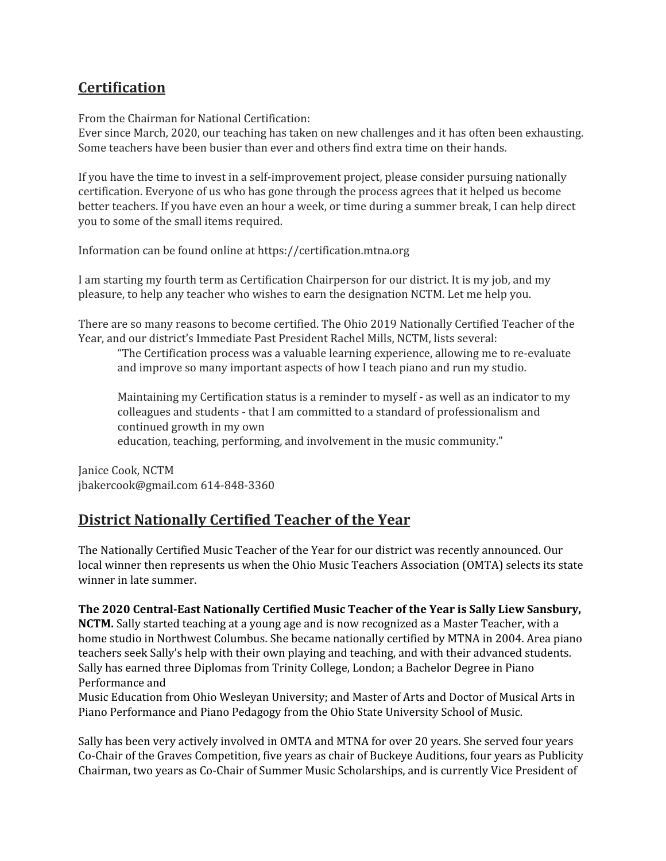# **Certification**

From the Chairman for National Certification:

Ever since March, 2020, our teaching has taken on new challenges and it has often been exhausting. Some teachers have been busier than ever and others find extra time on their hands.

If you have the time to invest in a self-improvement project, please consider pursuing nationally certification. Everyone of us who has gone through the process agrees that it helped us become better teachers. If you have even an hour a week, or time during a summer break, I can help direct you to some of the small items required.

Information can be found online at https://certification.mtna.org

I am starting my fourth term as Certification Chairperson for our district. It is my job, and my pleasure, to help any teacher who wishes to earn the designation NCTM. Let me help you.

There are so many reasons to become certified. The Ohio 2019 Nationally Certified Teacher of the Year, and our district's Immediate Past President Rachel Mills, NCTM, lists several:

"The Certification process was a valuable learning experience, allowing me to re-evaluate and improve so many important aspects of how I teach piano and run my studio.

Maintaining my Certification status is a reminder to myself - as well as an indicator to my colleagues and students - that I am committed to a standard of professionalism and continued growth in my own

education, teaching, performing, and involvement in the music community."

Janice Cook, NCTM jbakercook@gmail.com 614-848-3360

# **District Nationally Certified Teacher of the Year**

The Nationally Certified Music Teacher of the Year for our district was recently announced. Our local winner then represents us when the Ohio Music Teachers Association (OMTA) selects its state winner in late summer.

**The 2020 Central-East Nationally Certified Music Teacher of the Year is Sally Liew Sansbury, NCTM.** Sally started teaching at a young age and is now recognized as a Master Teacher, with a home studio in Northwest Columbus. She became nationally certified by MTNA in 2004. Area piano teachers seek Sally's help with their own playing and teaching, and with their advanced students. Sally has earned three Diplomas from Trinity College, London; a Bachelor Degree in Piano Performance and

Music Education from Ohio Wesleyan University; and Master of Arts and Doctor of Musical Arts in Piano Performance and Piano Pedagogy from the Ohio State University School of Music.

Sally has been very actively involved in OMTA and MTNA for over 20 years. She served four years Co-Chair of the Graves Competition, five years as chair of Buckeye Auditions, four years as Publicity Chairman, two years as Co-Chair of Summer Music Scholarships, and is currently Vice President of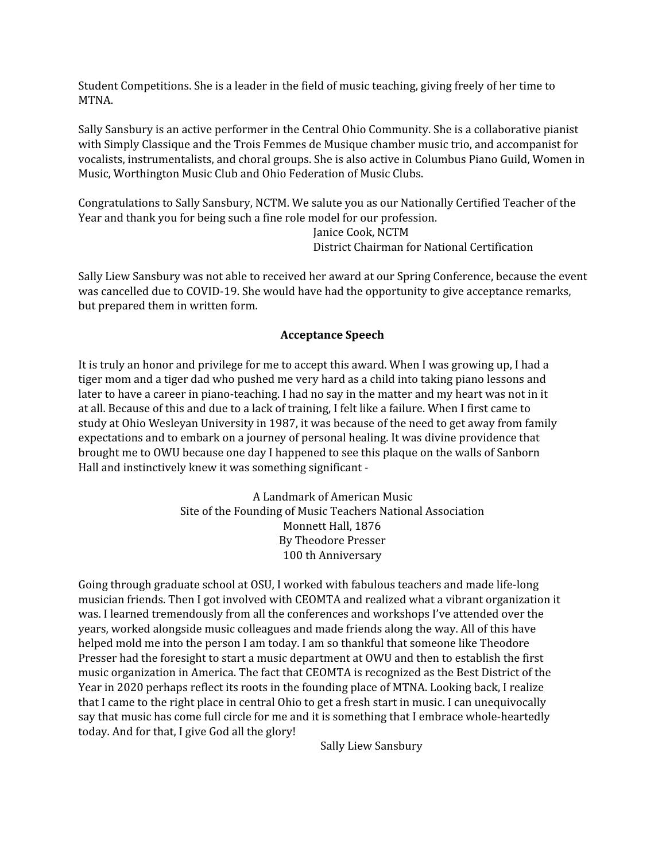Student Competitions. She is a leader in the field of music teaching, giving freely of her time to MTNA.

Sally Sansbury is an active performer in the Central Ohio Community. She is a collaborative pianist with Simply Classique and the Trois Femmes de Musique chamber music trio, and accompanist for vocalists, instrumentalists, and choral groups. She is also active in Columbus Piano Guild, Women in Music, Worthington Music Club and Ohio Federation of Music Clubs.

Congratulations to Sally Sansbury, NCTM. We salute you as our Nationally Certified Teacher of the Year and thank you for being such a fine role model for our profession.

> Janice Cook, NCTM District Chairman for National Certification

Sally Liew Sansbury was not able to received her award at our Spring Conference, because the event was cancelled due to COVID-19. She would have had the opportunity to give acceptance remarks, but prepared them in written form.

#### **Acceptance Speech**

It is truly an honor and privilege for me to accept this award. When I was growing up, I had a tiger mom and a tiger dad who pushed me very hard as a child into taking piano lessons and later to have a career in piano-teaching. I had no say in the matter and my heart was not in it at all. Because of this and due to a lack of training, I felt like a failure. When I first came to study at Ohio Wesleyan University in 1987, it was because of the need to get away from family expectations and to embark on a journey of personal healing. It was divine providence that brought me to OWU because one day I happened to see this plaque on the walls of Sanborn Hall and instinctively knew it was something significant -

> A Landmark of American Music Site of the Founding of Music Teachers National Association Monnett Hall, 1876 By Theodore Presser 100 th Anniversary

Going through graduate school at OSU, I worked with fabulous teachers and made life-long musician friends. Then I got involved with CEOMTA and realized what a vibrant organization it was. I learned tremendously from all the conferences and workshops I've attended over the years, worked alongside music colleagues and made friends along the way. All of this have helped mold me into the person I am today. I am so thankful that someone like Theodore Presser had the foresight to start a music department at OWU and then to establish the first music organization in America. The fact that CEOMTA is recognized as the Best District of the Year in 2020 perhaps reflect its roots in the founding place of MTNA. Looking back, I realize that I came to the right place in central Ohio to get a fresh start in music. I can unequivocally say that music has come full circle for me and it is something that I embrace whole-heartedly today. And for that, I give God all the glory!

Sally Liew Sansbury